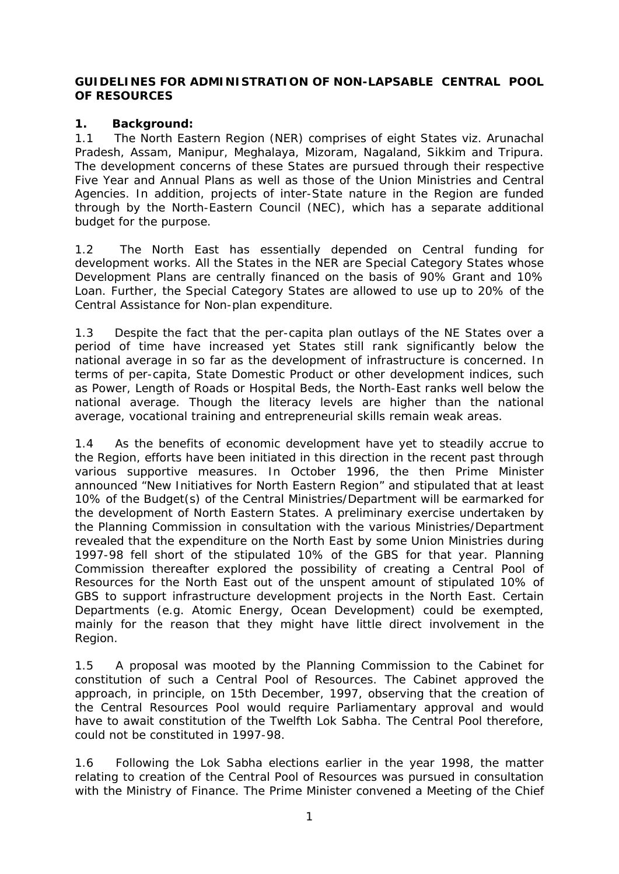#### **GUIDELINES FOR ADMINISTRATION OF NON-LAPSABLE CENTRAL POOL OF RESOURCES**

#### **1. Background:**

1.1 The North Eastern Region (NER) comprises of eight States viz. Arunachal Pradesh, Assam, Manipur, Meghalaya, Mizoram, Nagaland, Sikkim and Tripura. The development concerns of these States are pursued through their respective Five Year and Annual Plans as well as those of the Union Ministries and Central Agencies. In addition, projects of inter-State nature in the Region are funded through by the North-Eastern Council (NEC), which has a separate additional budget for the purpose.

1.2 The North East has essentially depended on Central funding for development works. All the States in the NER are Special Category States whose Development Plans are centrally financed on the basis of 90% Grant and 10% Loan. Further, the Special Category States are allowed to use up to 20% of the Central Assistance for Non-plan expenditure.

1.3 Despite the fact that the per-capita plan outlays of the NE States over a period of time have increased yet States still rank significantly below the national average in so far as the development of infrastructure is concerned. In terms of per-capita, State Domestic Product or other development indices, such as Power, Length of Roads or Hospital Beds, the North-East ranks well below the national average. Though the literacy levels are higher than the national average, vocational training and entrepreneurial skills remain weak areas.

1.4 As the benefits of economic development have yet to steadily accrue to the Region, efforts have been initiated in this direction in the recent past through various supportive measures. In October 1996, the then Prime Minister announced "New Initiatives for North Eastern Region" and stipulated that at least 10% of the Budget(s) of the Central Ministries/Department will be earmarked for the development of North Eastern States. A preliminary exercise undertaken by the Planning Commission in consultation with the various Ministries/Department revealed that the expenditure on the North East by some Union Ministries during 1997-98 fell short of the stipulated 10% of the GBS for that year. Planning Commission thereafter explored the possibility of creating a Central Pool of Resources for the North East out of the unspent amount of stipulated 10% of GBS to support infrastructure development projects in the North East. Certain Departments (e.g. Atomic Energy, Ocean Development) could be exempted, mainly for the reason that they might have little direct involvement in the Region.

1.5 A proposal was mooted by the Planning Commission to the Cabinet for constitution of such a Central Pool of Resources. The Cabinet approved the approach, in principle, on 15th December, 1997, observing that the creation of the Central Resources Pool would require Parliamentary approval and would have to await constitution of the Twelfth Lok Sabha. The Central Pool therefore, could not be constituted in 1997-98.

1.6 Following the Lok Sabha elections earlier in the year 1998, the matter relating to creation of the Central Pool of Resources was pursued in consultation with the Ministry of Finance. The Prime Minister convened a Meeting of the Chief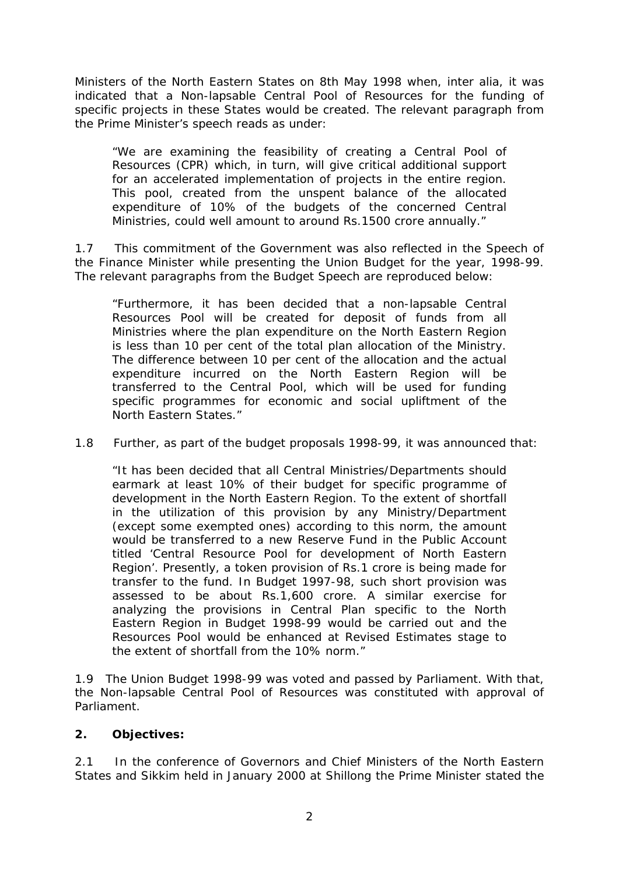Ministers of the North Eastern States on 8th May 1998 when, inter alia, it was indicated that a Non-lapsable Central Pool of Resources for the funding of specific projects in these States would be created. The relevant paragraph from the Prime Minister's speech reads as under:

"We are examining the feasibility of creating a Central Pool of Resources (CPR) which, in turn, will give critical additional support for an accelerated implementation of projects in the entire region. This pool, created from the unspent balance of the allocated expenditure of 10% of the budgets of the concerned Central Ministries, could well amount to around Rs.1500 crore annually."

1.7 This commitment of the Government was also reflected in the Speech of the Finance Minister while presenting the Union Budget for the year, 1998-99. The relevant paragraphs from the Budget Speech are reproduced below:

"Furthermore, it has been decided that a non-lapsable Central Resources Pool will be created for deposit of funds from all Ministries where the plan expenditure on the North Eastern Region is less than 10 per cent of the total plan allocation of the Ministry. The difference between 10 per cent of the allocation and the actual expenditure incurred on the North Eastern Region will be transferred to the Central Pool, which will be used for funding specific programmes for economic and social upliftment of the North Eastern States."

1.8 Further, as part of the budget proposals 1998-99, it was announced that:

"It has been decided that all Central Ministries/Departments should earmark at least 10% of their budget for specific programme of development in the North Eastern Region. To the extent of shortfall in the utilization of this provision by any Ministry/Department (except some exempted ones) according to this norm, the amount would be transferred to a new Reserve Fund in the Public Account titled 'Central Resource Pool for development of North Eastern Region'. Presently, a token provision of Rs.1 crore is being made for transfer to the fund. In Budget 1997-98, such short provision was assessed to be about Rs.1,600 crore. A similar exercise for analyzing the provisions in Central Plan specific to the North Eastern Region in Budget 1998-99 would be carried out and the Resources Pool would be enhanced at Revised Estimates stage to the extent of shortfall from the 10% norm."

1.9 The Union Budget 1998-99 was voted and passed by Parliament. With that, the Non-lapsable Central Pool of Resources was constituted with approval of Parliament.

## **2. Objectives:**

2.1 In the conference of Governors and Chief Ministers of the North Eastern States and Sikkim held in January 2000 at Shillong the Prime Minister stated the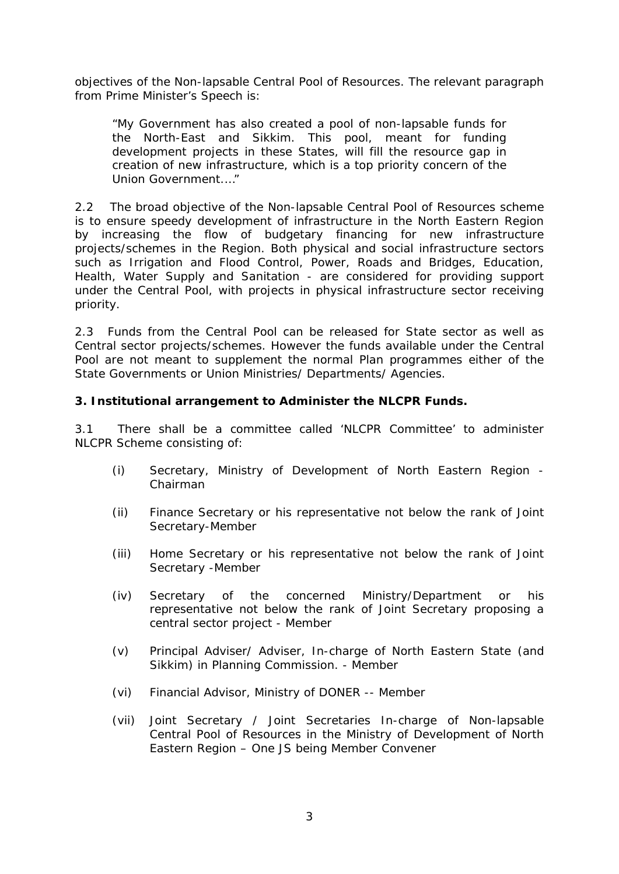objectives of the Non-lapsable Central Pool of Resources. The relevant paragraph from Prime Minister's Speech is:

"My Government has also created a pool of non-lapsable funds for the North-East and Sikkim. This pool, meant for funding development projects in these States, will fill the resource gap in creation of new infrastructure, which is a top priority concern of the Union Government.…"

2.2 The broad objective of the Non-lapsable Central Pool of Resources scheme is to ensure speedy development of infrastructure in the North Eastern Region by increasing the flow of budgetary financing for new infrastructure projects/schemes in the Region. Both physical and social infrastructure sectors such as Irrigation and Flood Control, Power, Roads and Bridges, Education, Health, Water Supply and Sanitation - are considered for providing support under the Central Pool, with projects in physical infrastructure sector receiving priority.

2.3 Funds from the Central Pool can be released for State sector as well as Central sector projects/schemes. However the funds available under the Central Pool are not meant to supplement the normal Plan programmes either of the State Governments or Union Ministries/ Departments/ Agencies.

#### **3. Institutional arrangement to Administer the NLCPR Funds.**

3.1 There shall be a committee called 'NLCPR Committee' to administer NLCPR Scheme consisting of:

- (i) Secretary, Ministry of Development of North Eastern Region Chairman
- (ii) Finance Secretary or his representative not below the rank of Joint Secretary-Member
- (iii) Home Secretary or his representative not below the rank of Joint Secretary -Member
- (iv) Secretary of the concerned Ministry/Department or his representative not below the rank of Joint Secretary proposing a central sector project - Member
- (v) Principal Adviser/ Adviser, In-charge of North Eastern State (and Sikkim) in Planning Commission. - Member
- (vi) Financial Advisor, Ministry of DONER -- Member
- (vii) Joint Secretary / Joint Secretaries In-charge of Non-lapsable Central Pool of Resources in the Ministry of Development of North Eastern Region – One JS being Member Convener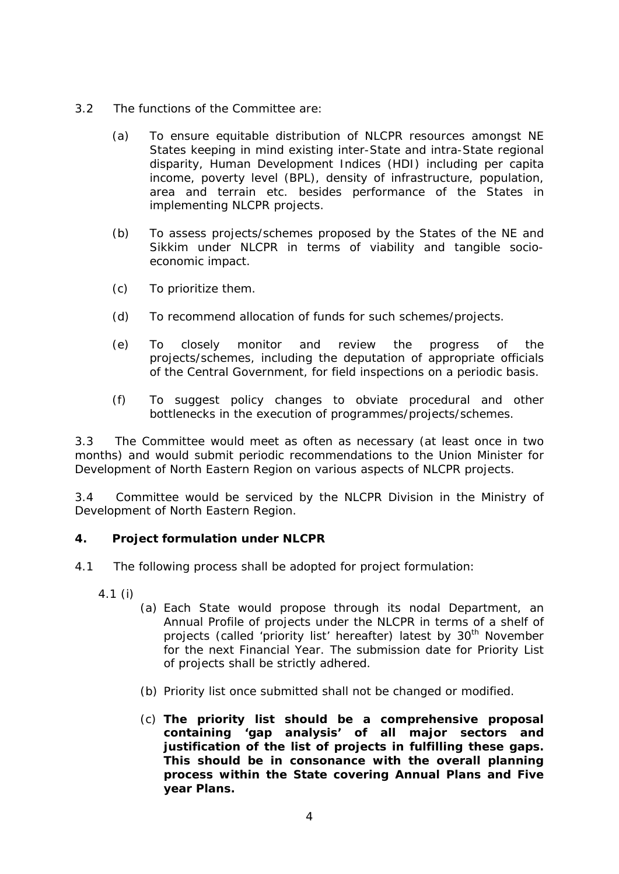- 3.2 The functions of the Committee are:
	- (a) To ensure equitable distribution of NLCPR resources amongst NE States keeping in mind existing inter-State and intra-State regional disparity, Human Development Indices (HDI) including per capita income, poverty level (BPL), density of infrastructure, population, area and terrain etc. besides performance of the States in implementing NLCPR projects.
	- (b) To assess projects/schemes proposed by the States of the NE and Sikkim under NLCPR in terms of viability and tangible socioeconomic impact.
	- (c) To prioritize them.
	- (d) To recommend allocation of funds for such schemes/projects.
	- (e) To closely monitor and review the progress of the projects/schemes, including the deputation of appropriate officials of the Central Government, for field inspections on a periodic basis.
	- (f) To suggest policy changes to obviate procedural and other bottlenecks in the execution of programmes/projects/schemes.

3.3 The Committee would meet as often as necessary (at least once in two months) and would submit periodic recommendations to the Union Minister for Development of North Eastern Region on various aspects of NLCPR projects.

3.4 Committee would be serviced by the NLCPR Division in the Ministry of Development of North Eastern Region.

#### **4. Project formulation under NLCPR**

- 4.1 The following process shall be adopted for project formulation:
	- 4.1 (i)
		- (a) Each State would propose through its nodal Department, an Annual Profile of projects under the NLCPR in terms of a shelf of projects (called 'priority list' hereafter) latest by 30<sup>th</sup> November for the next Financial Year. The submission date for Priority List of projects shall be strictly adhered.
		- (b) Priority list once submitted shall not be changed or modified.
		- (c) **The priority list should be a comprehensive proposal containing 'gap analysis' of all major sectors and justification of the list of projects in fulfilling these gaps. This should be in consonance with the overall planning process within the State covering Annual Plans and Five year Plans.**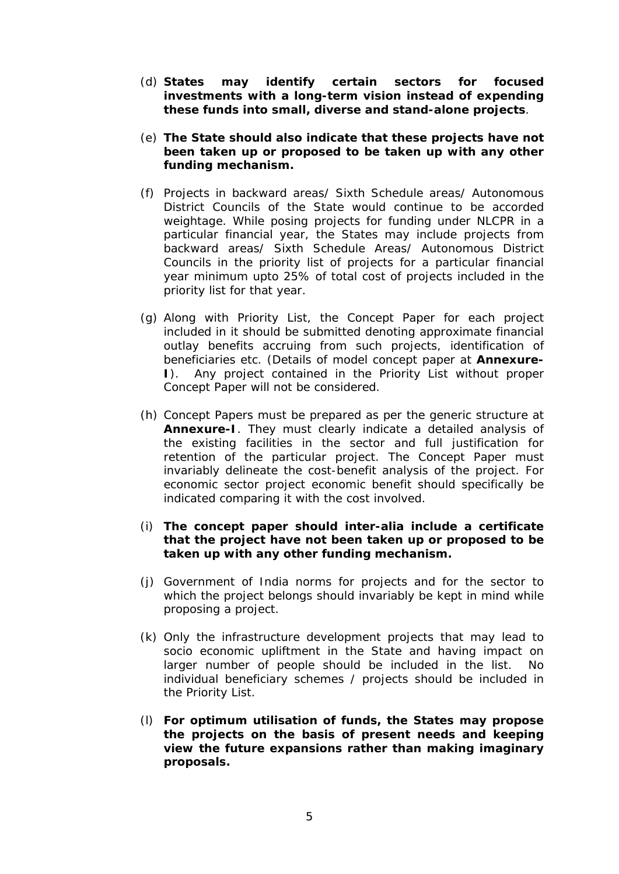- (d) **States may identify certain sectors for focused investments with a long-term vision instead of expending these funds into small, diverse and stand-alone projects**.
- (e) **The State should also indicate that these projects have not been taken up or proposed to be taken up with any other funding mechanism.**
- (f) Projects in backward areas/ Sixth Schedule areas/ Autonomous District Councils of the State would continue to be accorded weightage. While posing projects for funding under NLCPR in a particular financial year, the States may include projects from backward areas/ Sixth Schedule Areas/ Autonomous District Councils in the priority list of projects for a particular financial year minimum upto 25% of total cost of projects included in the priority list for that year.
- (g) Along with Priority List, the Concept Paper for each project included in it should be submitted denoting approximate financial outlay benefits accruing from such projects, identification of beneficiaries etc. (Details of model concept paper at **Annexure-I**). Any project contained in the Priority List without proper Concept Paper will not be considered.
- (h) Concept Papers must be prepared as per the generic structure at **Annexure-I**. They must clearly indicate a detailed analysis of the existing facilities in the sector and full justification for retention of the particular project. The Concept Paper must invariably delineate the cost-benefit analysis of the project. For economic sector project economic benefit should specifically be indicated comparing it with the cost involved.
- (i) **The concept paper should inter-alia include a certificate that the project have not been taken up or proposed to be taken up with any other funding mechanism.**
- (j) Government of India norms for projects and for the sector to which the project belongs should invariably be kept in mind while proposing a project.
- (k) Only the infrastructure development projects that may lead to socio economic upliftment in the State and having impact on larger number of people should be included in the list. No individual beneficiary schemes / projects should be included in the Priority List.
- (l) **For optimum utilisation of funds, the States may propose the projects on the basis of present needs and keeping view the future expansions rather than making imaginary proposals.**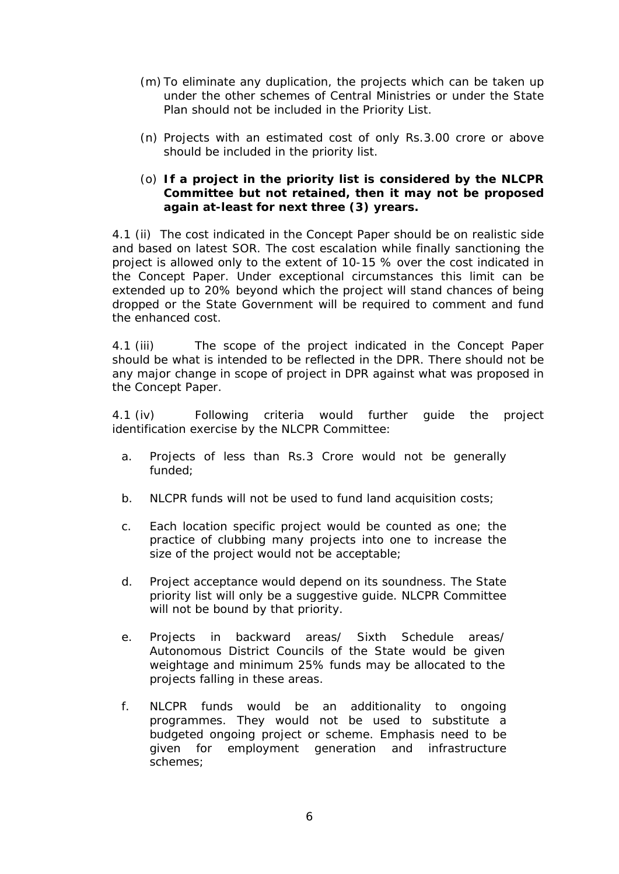- (m) To eliminate any duplication, the projects which can be taken up under the other schemes of Central Ministries or under the State Plan should not be included in the Priority List.
- (n) Projects with an estimated cost of only Rs.3.00 crore or above should be included in the priority list.

#### (o) **If a project in the priority list is considered by the NLCPR Committee but not retained, then it may not be proposed again at-least for next three (3) yrears.**

4.1 (ii) The cost indicated in the Concept Paper should be on realistic side and based on latest SOR. The cost escalation while finally sanctioning the project is allowed only to the extent of 10-15 % over the cost indicated in the Concept Paper. Under exceptional circumstances this limit can be extended up to 20% beyond which the project will stand chances of being dropped or the State Government will be required to comment and fund the enhanced cost.

4.1 (iii) The scope of the project indicated in the Concept Paper should be what is intended to be reflected in the DPR. There should not be any major change in scope of project in DPR against what was proposed in the Concept Paper.

4.1 (iv) Following criteria would further guide the project identification exercise by the NLCPR Committee:

- a. Projects of less than Rs.3 Crore would not be generally funded;
- b. NLCPR funds will not be used to fund land acquisition costs;
- c. Each location specific project would be counted as one; the practice of clubbing many projects into one to increase the size of the project would not be acceptable;
- d. Project acceptance would depend on its soundness. The State priority list will only be a suggestive guide. NLCPR Committee will not be bound by that priority.
- e. Projects in backward areas/ Sixth Schedule areas/ Autonomous District Councils of the State would be given weightage and minimum 25% funds may be allocated to the projects falling in these areas.
- f. NLCPR funds would be an additionality to ongoing programmes. They would not be used to substitute a budgeted ongoing project or scheme. Emphasis need to be given for employment generation and infrastructure schemes;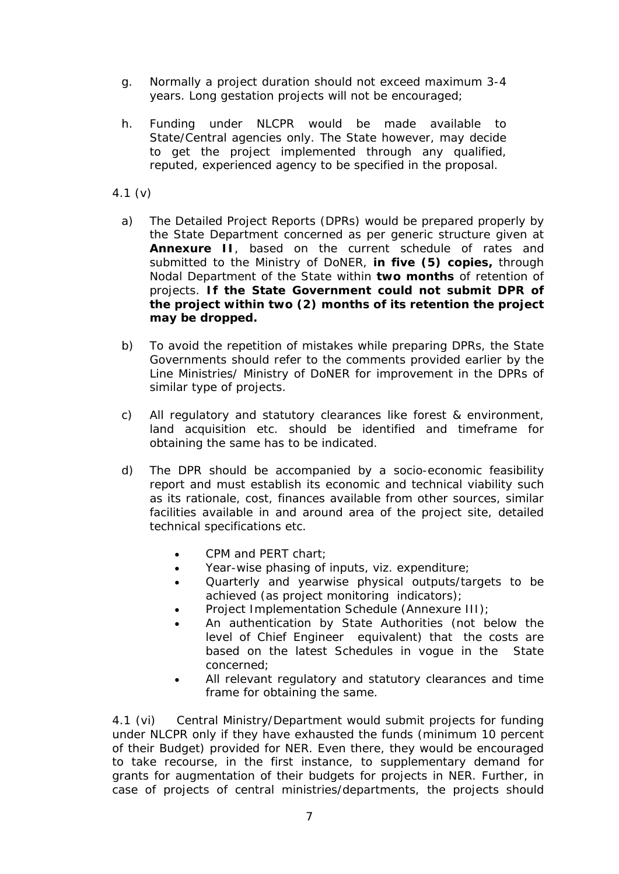- g. Normally a project duration should not exceed maximum 3-4 years. Long gestation projects will not be encouraged;
- h. Funding under NLCPR would be made available to State/Central agencies only. The State however, may decide to get the project implemented through any qualified, reputed, experienced agency to be specified in the proposal.
- 4.1 (v)
	- a) The Detailed Project Reports (DPRs) would be prepared properly by the State Department concerned as per generic structure given at **Annexure II**, based on the current schedule of rates and submitted to the Ministry of DoNER, **in five (5) copies,** through Nodal Department of the State within **two months** of retention of projects. **If the State Government could not submit DPR of the project within two (2) months of its retention the project may be dropped.**
	- b) To avoid the repetition of mistakes while preparing DPRs, the State Governments should refer to the comments provided earlier by the Line Ministries/ Ministry of DoNER for improvement in the DPRs of similar type of projects.
	- c) All regulatory and statutory clearances like forest & environment, land acquisition etc. should be identified and timeframe for obtaining the same has to be indicated.
	- d) The DPR should be accompanied by a socio-economic feasibility report and must establish its economic and technical viability such as its rationale, cost, finances available from other sources, similar facilities available in and around area of the project site, detailed technical specifications etc.
		- CPM and PERT chart;
		- Year-wise phasing of inputs, viz. expenditure;
		- Quarterly and yearwise physical outputs/targets to be achieved (as project monitoring indicators);
		- Project Implementation Schedule (Annexure III):
		- An authentication by State Authorities (not below the level of Chief Engineer equivalent) that the costs are based on the latest Schedules in vogue in the State concerned;
		- All relevant regulatory and statutory clearances and time frame for obtaining the same.

4.1 (vi) Central Ministry/Department would submit projects for funding under NLCPR only if they have exhausted the funds (minimum 10 percent of their Budget) provided for NER. Even there, they would be encouraged to take recourse, in the first instance, to supplementary demand for grants for augmentation of their budgets for projects in NER. Further, in case of projects of central ministries/departments, the projects should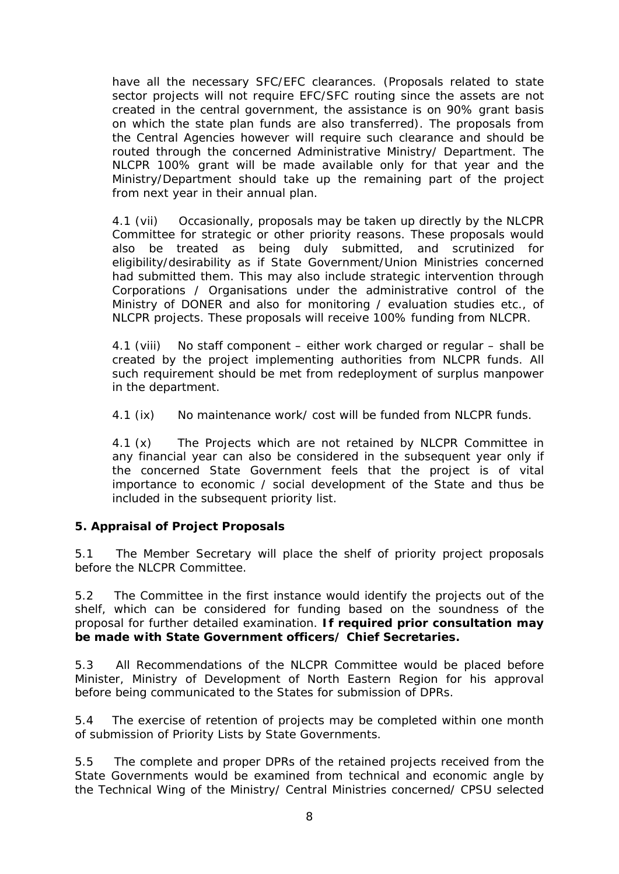have all the necessary SFC/EFC clearances. (Proposals related to state sector projects will not require EFC/SFC routing since the assets are not created in the central government, the assistance is on 90% grant basis on which the state plan funds are also transferred). The proposals from the Central Agencies however will require such clearance and should be routed through the concerned Administrative Ministry/ Department. The NLCPR 100% grant will be made available only for that year and the Ministry/Department should take up the remaining part of the project from next year in their annual plan.

4.1 (vii) Occasionally, proposals may be taken up directly by the NLCPR Committee for strategic or other priority reasons. These proposals would also be treated as being duly submitted, and scrutinized for eligibility/desirability as if State Government/Union Ministries concerned had submitted them. This may also include strategic intervention through Corporations / Organisations under the administrative control of the Ministry of DONER and also for monitoring / evaluation studies etc., of NLCPR projects. These proposals will receive 100% funding from NLCPR.

4.1 (viii) No staff component – either work charged or regular – shall be created by the project implementing authorities from NLCPR funds. All such requirement should be met from redeployment of surplus manpower in the department.

4.1 (ix) No maintenance work/ cost will be funded from NLCPR funds.

4.1 (x) The Projects which are not retained by NLCPR Committee in any financial year can also be considered in the subsequent year only if the concerned State Government feels that the project is of vital importance to economic / social development of the State and thus be included in the subsequent priority list.

## **5. Appraisal of Project Proposals**

5.1 The Member Secretary will place the shelf of priority project proposals before the NLCPR Committee.

5.2 The Committee in the first instance would identify the projects out of the shelf, which can be considered for funding based on the soundness of the proposal for further detailed examination. **If required prior consultation may be made with State Government officers/ Chief Secretaries.**

5.3 All Recommendations of the NLCPR Committee would be placed before Minister, Ministry of Development of North Eastern Region for his approval before being communicated to the States for submission of DPRs.

5.4 The exercise of retention of projects may be completed within one month of submission of Priority Lists by State Governments.

5.5 The complete and proper DPRs of the retained projects received from the State Governments would be examined from technical and economic angle by the Technical Wing of the Ministry/ Central Ministries concerned/ CPSU selected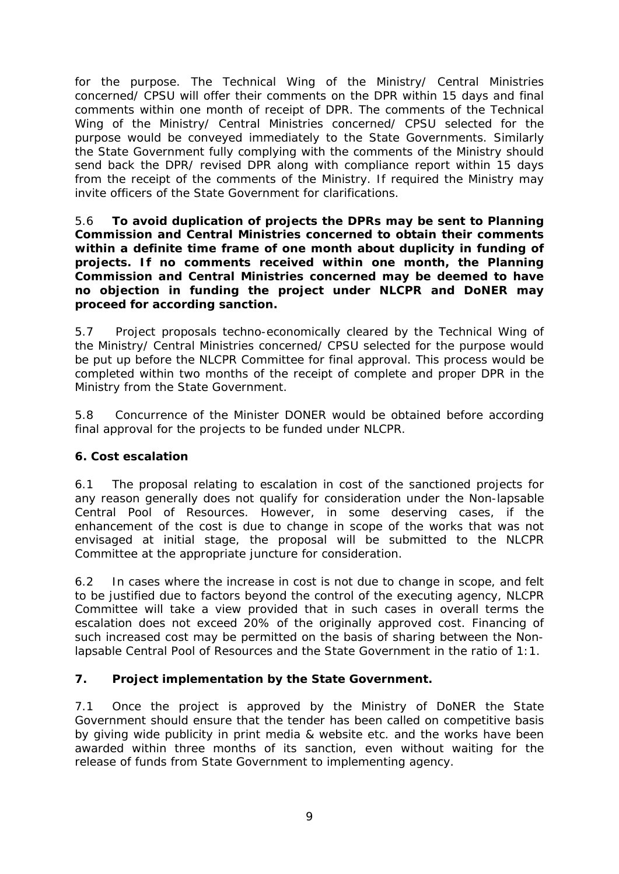for the purpose. The Technical Wing of the Ministry/ Central Ministries concerned/ CPSU will offer their comments on the DPR within 15 days and final comments within one month of receipt of DPR. The comments of the Technical Wing of the Ministry/ Central Ministries concerned/ CPSU selected for the purpose would be conveyed immediately to the State Governments. Similarly the State Government fully complying with the comments of the Ministry should send back the DPR/ revised DPR along with compliance report within 15 days from the receipt of the comments of the Ministry. If required the Ministry may invite officers of the State Government for clarifications.

5.6 **To avoid duplication of projects the DPRs may be sent to Planning Commission and Central Ministries concerned to obtain their comments within a definite time frame of one month about duplicity in funding of projects. If no comments received within one month, the Planning Commission and Central Ministries concerned may be deemed to have no objection in funding the project under NLCPR and DoNER may proceed for according sanction.**

5.7 Project proposals techno-economically cleared by the Technical Wing of the Ministry/ Central Ministries concerned/ CPSU selected for the purpose would be put up before the NLCPR Committee for final approval. This process would be completed within two months of the receipt of complete and proper DPR in the Ministry from the State Government.

5.8 Concurrence of the Minister DONER would be obtained before according final approval for the projects to be funded under NLCPR.

## **6. Cost escalation**

6.1 The proposal relating to escalation in cost of the sanctioned projects for any reason generally does not qualify for consideration under the Non-lapsable Central Pool of Resources. However, in some deserving cases, if the enhancement of the cost is due to change in scope of the works that was not envisaged at initial stage, the proposal will be submitted to the NLCPR Committee at the appropriate juncture for consideration.

6.2 In cases where the increase in cost is not due to change in scope, and felt to be justified due to factors beyond the control of the executing agency, NLCPR Committee will take a view provided that in such cases in overall terms the escalation does not exceed 20% of the originally approved cost. Financing of such increased cost may be permitted on the basis of sharing between the Nonlapsable Central Pool of Resources and the State Government in the ratio of 1:1.

## **7. Project implementation by the State Government.**

7.1 Once the project is approved by the Ministry of DoNER the State Government should ensure that the tender has been called on competitive basis by giving wide publicity in print media & website etc. and the works have been awarded within three months of its sanction, even without waiting for the release of funds from State Government to implementing agency.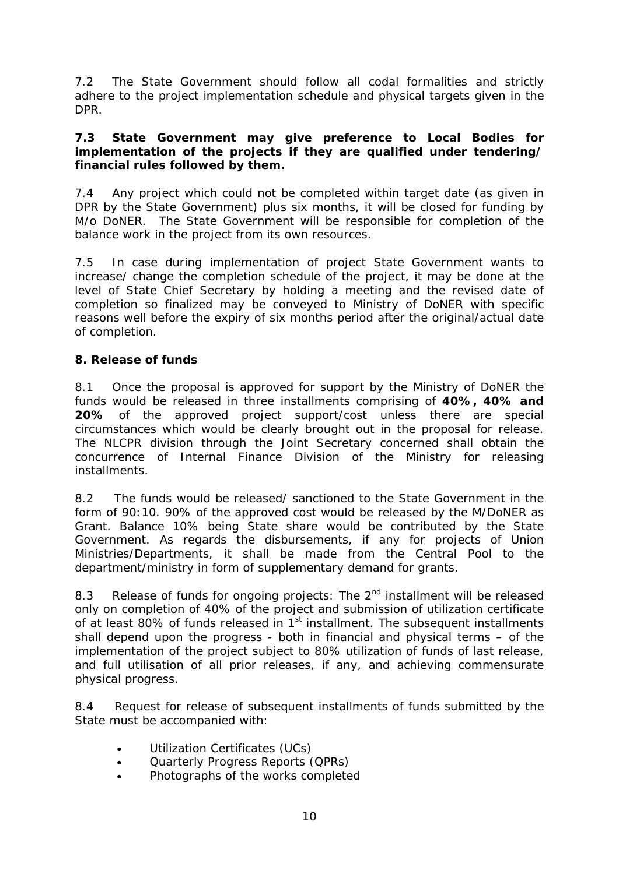7.2 The State Government should follow all codal formalities and strictly adhere to the project implementation schedule and physical targets given in the DPR.

#### **7.3 State Government may give preference to Local Bodies for implementation of the projects if they are qualified under tendering/ financial rules followed by them.**

7.4 Any project which could not be completed within target date (as given in DPR by the State Government) plus six months, it will be closed for funding by M/o DoNER. The State Government will be responsible for completion of the balance work in the project from its own resources.

7.5 In case during implementation of project State Government wants to increase/ change the completion schedule of the project, it may be done at the level of State Chief Secretary by holding a meeting and the revised date of completion so finalized may be conveyed to Ministry of DoNER with specific reasons well before the expiry of six months period after the original/actual date of completion.

## **8. Release of funds**

8.1 Once the proposal is approved for support by the Ministry of DoNER the funds would be released in three installments comprising of **40%, 40% and 20%** of the approved project support/cost unless there are special circumstances which would be clearly brought out in the proposal for release. The NLCPR division through the Joint Secretary concerned shall obtain the concurrence of Internal Finance Division of the Ministry for releasing installments.

8.2 The funds would be released/ sanctioned to the State Government in the form of 90:10. 90% of the approved cost would be released by the M/DoNER as Grant. Balance 10% being State share would be contributed by the State Government. As regards the disbursements, if any for projects of Union Ministries/Departments, it shall be made from the Central Pool to the department/ministry in form of supplementary demand for grants.

8.3 Release of funds for ongoing projects: The  $2^{nd}$  installment will be released only on completion of 40% of the project and submission of utilization certificate of at least 80% of funds released in  $1<sup>st</sup>$  installment. The subsequent installments shall depend upon the progress - both in financial and physical terms – of the implementation of the project subject to 80% utilization of funds of last release, and full utilisation of all prior releases, if any, and achieving commensurate physical progress.

8.4 Request for release of subsequent installments of funds submitted by the State must be accompanied with:

- Utilization Certificates (UCs)
- Quarterly Progress Reports (QPRs)
- Photographs of the works completed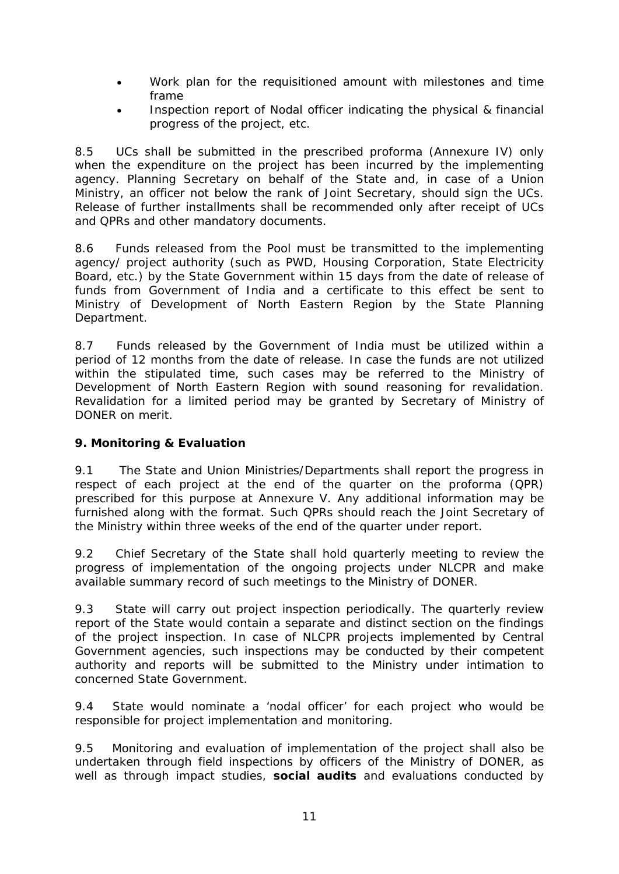- Work plan for the requisitioned amount with milestones and time frame
- Inspection report of Nodal officer indicating the physical & financial progress of the project, etc.

8.5 UCs shall be submitted in the prescribed proforma (Annexure IV) only when the expenditure on the project has been incurred by the implementing agency. Planning Secretary on behalf of the State and, in case of a Union Ministry, an officer not below the rank of Joint Secretary, should sign the UCs. Release of further installments shall be recommended only after receipt of UCs and QPRs and other mandatory documents.

8.6 Funds released from the Pool must be transmitted to the implementing agency/ project authority (such as PWD, Housing Corporation, State Electricity Board, etc.) by the State Government within 15 days from the date of release of funds from Government of India and a certificate to this effect be sent to Ministry of Development of North Eastern Region by the State Planning Department.

8.7 Funds released by the Government of India must be utilized within a period of 12 months from the date of release. In case the funds are not utilized within the stipulated time, such cases may be referred to the Ministry of Development of North Eastern Region with sound reasoning for revalidation. Revalidation for a limited period may be granted by Secretary of Ministry of DONER on merit.

## **9. Monitoring & Evaluation**

9.1 The State and Union Ministries/Departments shall report the progress in respect of each project at the end of the quarter on the proforma (QPR) prescribed for this purpose at Annexure V. Any additional information may be furnished along with the format. Such QPRs should reach the Joint Secretary of the Ministry within three weeks of the end of the quarter under report.

9.2 Chief Secretary of the State shall hold quarterly meeting to review the progress of implementation of the ongoing projects under NLCPR and make available summary record of such meetings to the Ministry of DONER.

9.3 State will carry out project inspection periodically. The quarterly review report of the State would contain a separate and distinct section on the findings of the project inspection. In case of NLCPR projects implemented by Central Government agencies, such inspections may be conducted by their competent authority and reports will be submitted to the Ministry under intimation to concerned State Government.

9.4 State would nominate a 'nodal officer' for each project who would be responsible for project implementation and monitoring.

9.5 Monitoring and evaluation of implementation of the project shall also be undertaken through field inspections by officers of the Ministry of DONER, as well as through impact studies, **social audits** and evaluations conducted by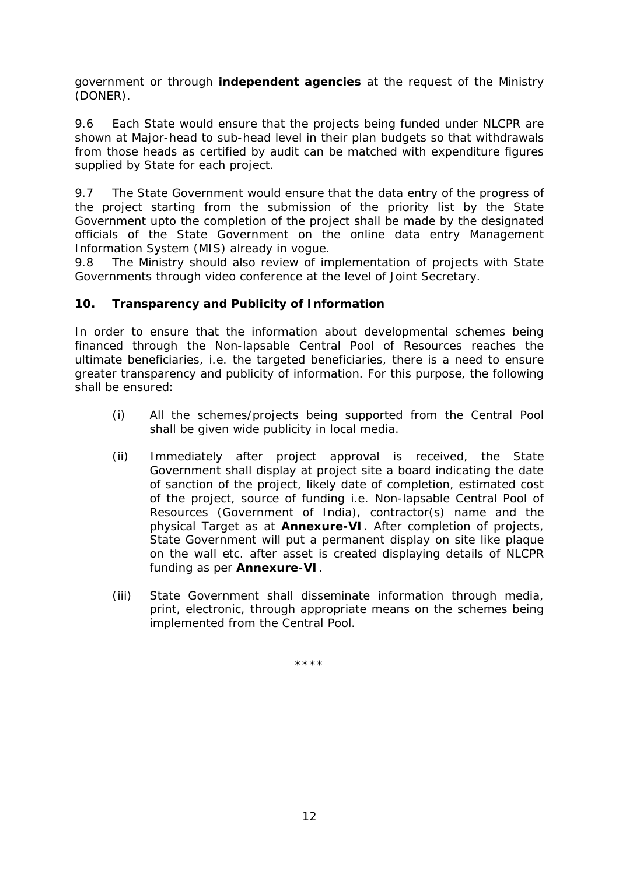government or through **independent agencies** at the request of the Ministry (DONER).

9.6 Each State would ensure that the projects being funded under NLCPR are shown at Major-head to sub-head level in their plan budgets so that withdrawals from those heads as certified by audit can be matched with expenditure figures supplied by State for each project.

9.7 The State Government would ensure that the data entry of the progress of the project starting from the submission of the priority list by the State Government upto the completion of the project shall be made by the designated officials of the State Government on the online data entry Management Information System (MIS) already in vogue.

9.8 The Ministry should also review of implementation of projects with State Governments through video conference at the level of Joint Secretary.

# **10. Transparency and Publicity of Information**

In order to ensure that the information about developmental schemes being financed through the Non-lapsable Central Pool of Resources reaches the ultimate beneficiaries, i.e. the targeted beneficiaries, there is a need to ensure greater transparency and publicity of information. For this purpose, the following shall be ensured:

- (i) All the schemes/projects being supported from the Central Pool shall be given wide publicity in local media.
- (ii) Immediately after project approval is received, the State Government shall display at project site a board indicating the date of sanction of the project, likely date of completion, estimated cost of the project, source of funding i.e. Non-lapsable Central Pool of Resources (Government of India), contractor(s) name and the physical Target as at **Annexure-VI**. After completion of projects, State Government will put a permanent display on site like plaque on the wall etc. after asset is created displaying details of NLCPR funding as per **Annexure-VI**.
- (iii) State Government shall disseminate information through media, print, electronic, through appropriate means on the schemes being implemented from the Central Pool.

\*\*\*\*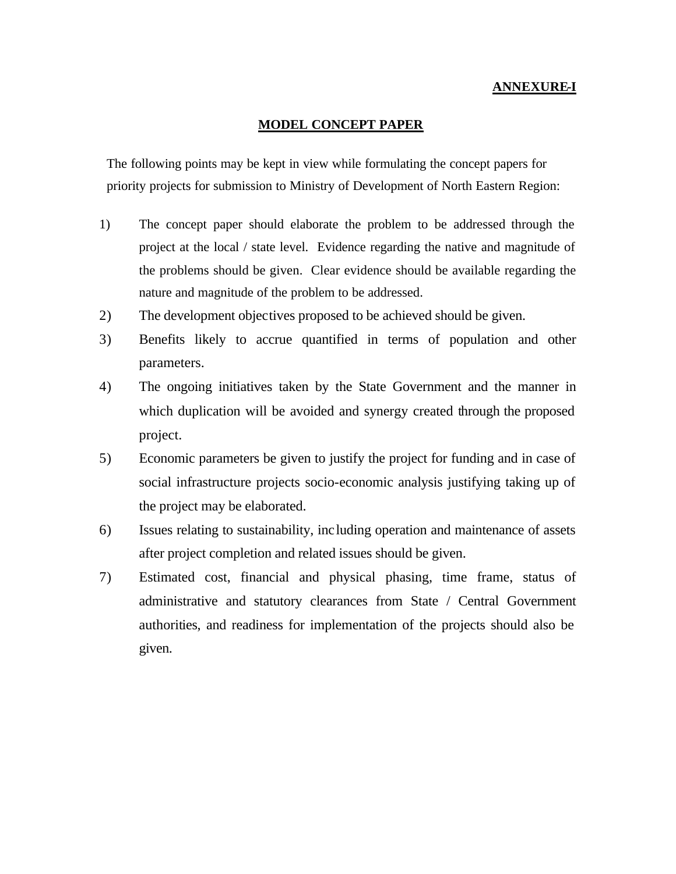#### **ANNEXURE-I**

#### **MODEL CONCEPT PAPER**

The following points may be kept in view while formulating the concept papers for priority projects for submission to Ministry of Development of North Eastern Region:

- 1) The concept paper should elaborate the problem to be addressed through the project at the local / state level. Evidence regarding the native and magnitude of the problems should be given. Clear evidence should be available regarding the nature and magnitude of the problem to be addressed.
- 2) The development objectives proposed to be achieved should be given.
- 3) Benefits likely to accrue quantified in terms of population and other parameters.
- 4) The ongoing initiatives taken by the State Government and the manner in which duplication will be avoided and synergy created through the proposed project.
- 5) Economic parameters be given to justify the project for funding and in case of social infrastructure projects socio-economic analysis justifying taking up of the project may be elaborated.
- 6) Issues relating to sustainability, including operation and maintenance of assets after project completion and related issues should be given.
- 7) Estimated cost, financial and physical phasing, time frame, status of administrative and statutory clearances from State / Central Government authorities, and readiness for implementation of the projects should also be given.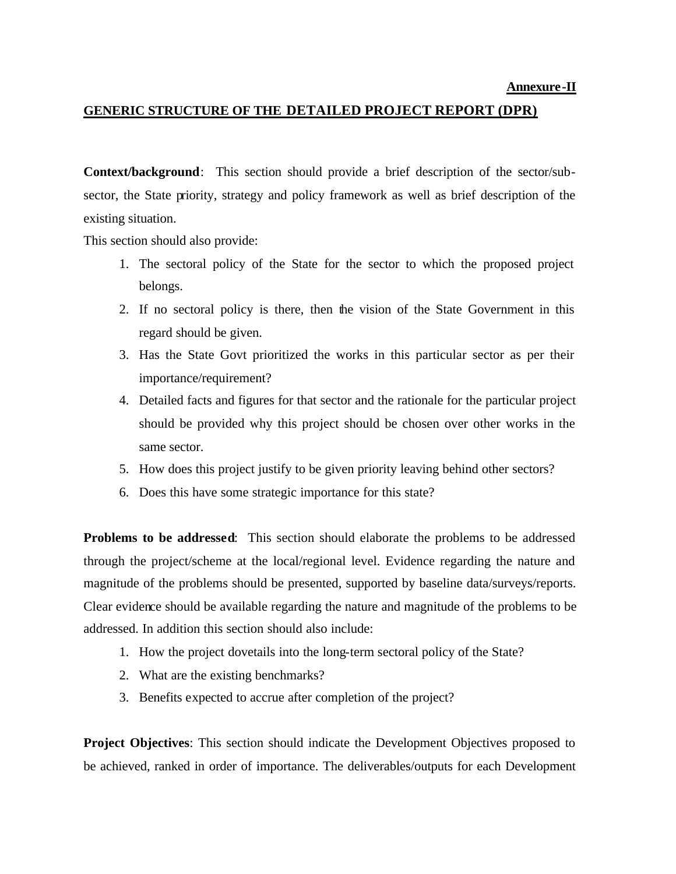#### **GENERIC STRUCTURE OF THE DETAILED PROJECT REPORT (DPR)**

**Context/background**: This section should provide a brief description of the sector/subsector, the State priority, strategy and policy framework as well as brief description of the existing situation.

This section should also provide:

- 1. The sectoral policy of the State for the sector to which the proposed project belongs.
- 2. If no sectoral policy is there, then the vision of the State Government in this regard should be given.
- 3. Has the State Govt prioritized the works in this particular sector as per their importance/requirement?
- 4. Detailed facts and figures for that sector and the rationale for the particular project should be provided why this project should be chosen over other works in the same sector.
- 5. How does this project justify to be given priority leaving behind other sectors?
- 6. Does this have some strategic importance for this state?

**Problems to be addressed**: This section should elaborate the problems to be addressed through the project/scheme at the local/regional level. Evidence regarding the nature and magnitude of the problems should be presented, supported by baseline data/surveys/reports. Clear evidence should be available regarding the nature and magnitude of the problems to be addressed. In addition this section should also include:

- 1. How the project dovetails into the long-term sectoral policy of the State?
- 2. What are the existing benchmarks?
- 3. Benefits expected to accrue after completion of the project?

**Project Objectives**: This section should indicate the Development Objectives proposed to be achieved, ranked in order of importance. The deliverables/outputs for each Development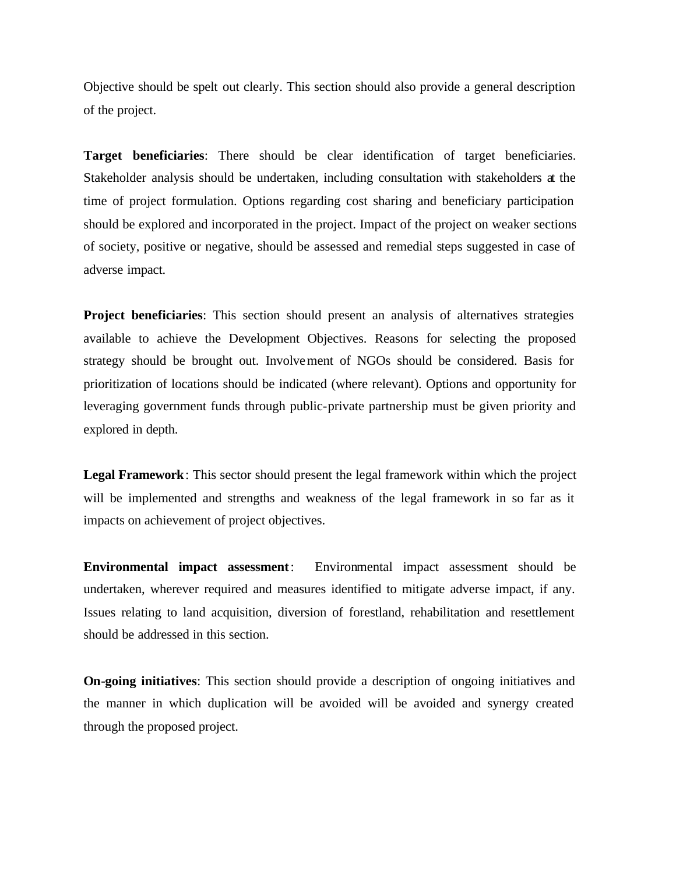Objective should be spelt out clearly. This section should also provide a general description of the project.

**Target beneficiaries**: There should be clear identification of target beneficiaries. Stakeholder analysis should be undertaken, including consultation with stakeholders at the time of project formulation. Options regarding cost sharing and beneficiary participation should be explored and incorporated in the project. Impact of the project on weaker sections of society, positive or negative, should be assessed and remedial steps suggested in case of adverse impact.

**Project beneficiaries**: This section should present an analysis of alternatives strategies available to achieve the Development Objectives. Reasons for selecting the proposed strategy should be brought out. Involvement of NGOs should be considered. Basis for prioritization of locations should be indicated (where relevant). Options and opportunity for leveraging government funds through public-private partnership must be given priority and explored in depth.

**Legal Framework**: This sector should present the legal framework within which the project will be implemented and strengths and weakness of the legal framework in so far as it impacts on achievement of project objectives.

**Environmental impact assessment**: Environmental impact assessment should be undertaken, wherever required and measures identified to mitigate adverse impact, if any. Issues relating to land acquisition, diversion of forestland, rehabilitation and resettlement should be addressed in this section.

**On-going initiatives**: This section should provide a description of ongoing initiatives and the manner in which duplication will be avoided will be avoided and synergy created through the proposed project.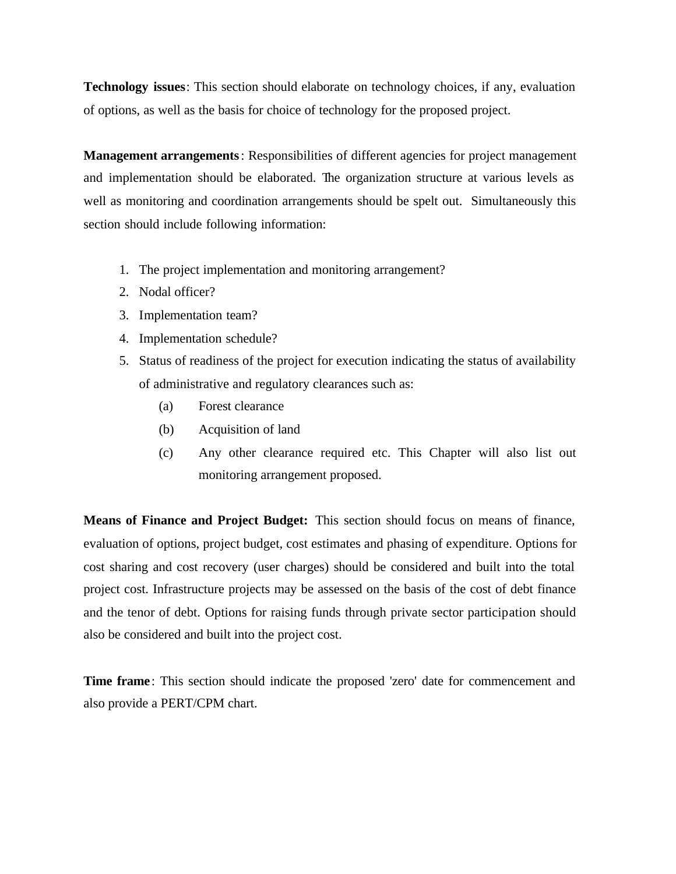**Technology issues**: This section should elaborate on technology choices, if any, evaluation of options, as well as the basis for choice of technology for the proposed project.

**Management arrangements**: Responsibilities of different agencies for project management and implementation should be elaborated. The organization structure at various levels as well as monitoring and coordination arrangements should be spelt out. Simultaneously this section should include following information:

- 1. The project implementation and monitoring arrangement?
- 2. Nodal officer?
- 3. Implementation team?
- 4. Implementation schedule?
- 5. Status of readiness of the project for execution indicating the status of availability of administrative and regulatory clearances such as:
	- (a) Forest clearance
	- (b) Acquisition of land
	- (c) Any other clearance required etc. This Chapter will also list out monitoring arrangement proposed.

**Means of Finance and Project Budget:** This section should focus on means of finance, evaluation of options, project budget, cost estimates and phasing of expenditure. Options for cost sharing and cost recovery (user charges) should be considered and built into the total project cost. Infrastructure projects may be assessed on the basis of the cost of debt finance and the tenor of debt. Options for raising funds through private sector participation should also be considered and built into the project cost.

**Time frame**: This section should indicate the proposed 'zero' date for commencement and also provide a PERT/CPM chart.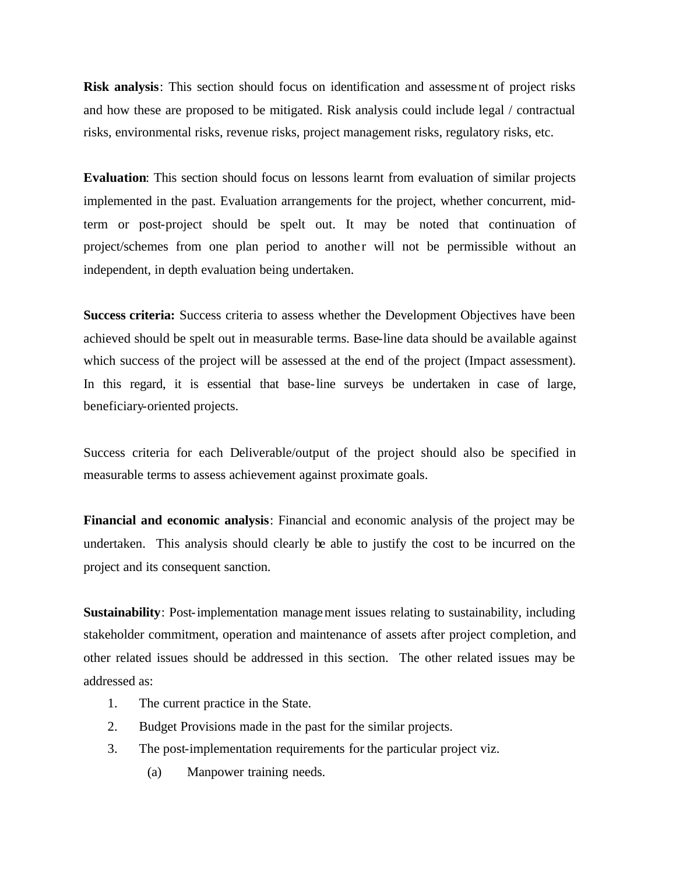**Risk analysis**: This section should focus on identification and assessment of project risks and how these are proposed to be mitigated. Risk analysis could include legal / contractual risks, environmental risks, revenue risks, project management risks, regulatory risks, etc.

**Evaluation**: This section should focus on lessons learnt from evaluation of similar projects implemented in the past. Evaluation arrangements for the project, whether concurrent, midterm or post-project should be spelt out. It may be noted that continuation of project/schemes from one plan period to another will not be permissible without an independent, in depth evaluation being undertaken.

**Success criteria:** Success criteria to assess whether the Development Objectives have been achieved should be spelt out in measurable terms. Base-line data should be available against which success of the project will be assessed at the end of the project (Impact assessment). In this regard, it is essential that base-line surveys be undertaken in case of large, beneficiary-oriented projects.

Success criteria for each Deliverable/output of the project should also be specified in measurable terms to assess achievement against proximate goals.

**Financial and economic analysis**: Financial and economic analysis of the project may be undertaken. This analysis should clearly be able to justify the cost to be incurred on the project and its consequent sanction.

**Sustainability**: Post-implementation management issues relating to sustainability, including stakeholder commitment, operation and maintenance of assets after project completion, and other related issues should be addressed in this section. The other related issues may be addressed as:

- 1. The current practice in the State.
- 2. Budget Provisions made in the past for the similar projects.
- 3. The post-implementation requirements for the particular project viz.
	- (a) Manpower training needs.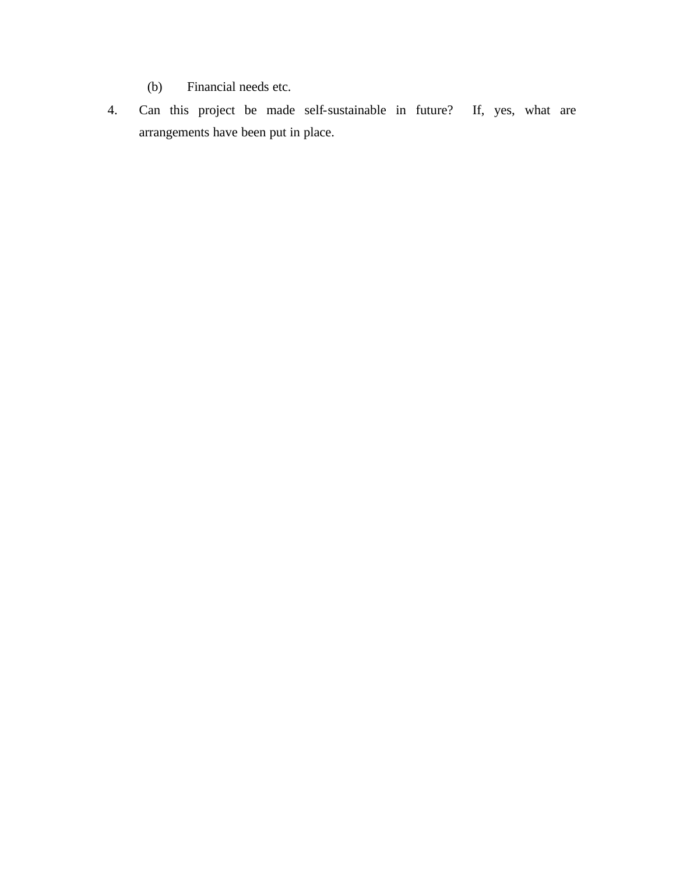- (b) Financial needs etc.
- 4. Can this project be made self-sustainable in future? If, yes, what are arrangements have been put in place.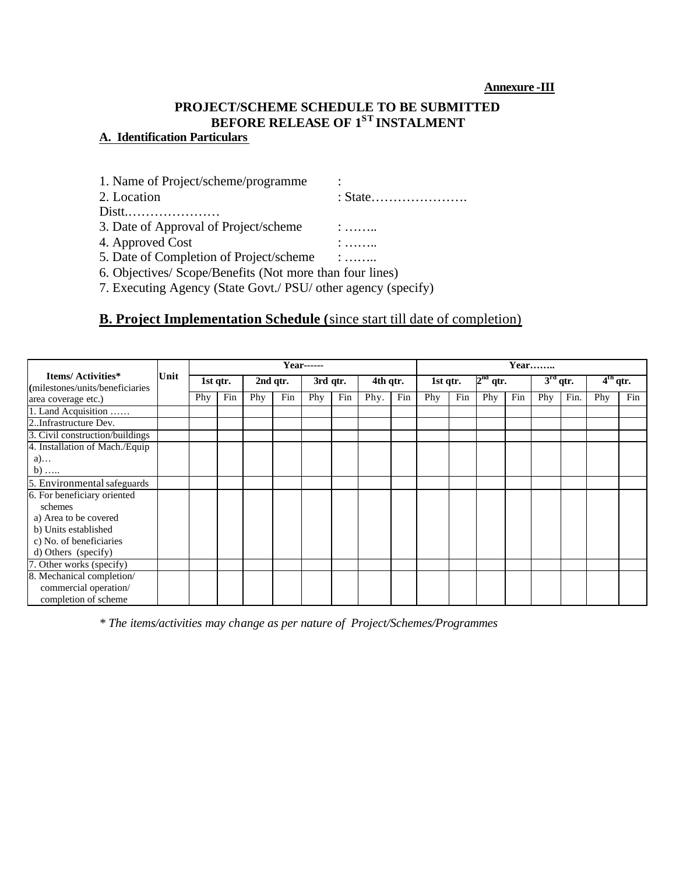# **PROJECT/SCHEME SCHEDULE TO BE SUBMITTED BEFORE RELEASE OF 1ST INSTALMENT**

# **A. Identification Particulars**

| $\ldots$ : $\ldots$                                           |
|---------------------------------------------------------------|
|                                                               |
| 5. Date of Completion of Project/scheme :                     |
| 6. Objectives/ Scope/Benefits (Not more than four lines)      |
| 7. Executing Agency (State Govt./ PSU/ other agency (specify) |
|                                                               |

# **B. Project Implementation Schedule (**since start till date of completion)

|                                                        |      |     |          |     |          | $Year$ ------ |          |          |     |          |     |            |     | Year |            |            |     |
|--------------------------------------------------------|------|-----|----------|-----|----------|---------------|----------|----------|-----|----------|-----|------------|-----|------|------------|------------|-----|
| Items/ Activities*<br>(milestones/units/beneficiaries) | Unit |     | 1st qtr. |     | 2nd qtr. |               | 3rd qtr. | 4th qtr. |     | 1st qtr. |     | $2nd$ qtr. |     |      | $3rd$ qtr. | $4th$ qtr. |     |
| area coverage etc.)                                    |      | Phy | Fin      | Phy | Fin      | Phy           | Fin      | Phy.     | Fin | Phy      | Fin | Phy        | Fin | Phy  | Fin.       | Phy        | Fin |
| 1. Land Acquisition                                    |      |     |          |     |          |               |          |          |     |          |     |            |     |      |            |            |     |
| 2. Infrastructure Dev.                                 |      |     |          |     |          |               |          |          |     |          |     |            |     |      |            |            |     |
| 3. Civil construction/buildings                        |      |     |          |     |          |               |          |          |     |          |     |            |     |      |            |            |     |
| 4. Installation of Mach./Equip                         |      |     |          |     |          |               |          |          |     |          |     |            |     |      |            |            |     |
| $a)$                                                   |      |     |          |     |          |               |          |          |     |          |     |            |     |      |            |            |     |
| $b)$                                                   |      |     |          |     |          |               |          |          |     |          |     |            |     |      |            |            |     |
| 5. Environmental safeguards                            |      |     |          |     |          |               |          |          |     |          |     |            |     |      |            |            |     |
| 6. For beneficiary oriented                            |      |     |          |     |          |               |          |          |     |          |     |            |     |      |            |            |     |
| schemes                                                |      |     |          |     |          |               |          |          |     |          |     |            |     |      |            |            |     |
| a) Area to be covered                                  |      |     |          |     |          |               |          |          |     |          |     |            |     |      |            |            |     |
| b) Units established                                   |      |     |          |     |          |               |          |          |     |          |     |            |     |      |            |            |     |
| c) No. of beneficiaries                                |      |     |          |     |          |               |          |          |     |          |     |            |     |      |            |            |     |
| d) Others (specify)                                    |      |     |          |     |          |               |          |          |     |          |     |            |     |      |            |            |     |
| 7. Other works (specify)                               |      |     |          |     |          |               |          |          |     |          |     |            |     |      |            |            |     |
| 8. Mechanical completion/                              |      |     |          |     |          |               |          |          |     |          |     |            |     |      |            |            |     |
| commercial operation/                                  |      |     |          |     |          |               |          |          |     |          |     |            |     |      |            |            |     |
| completion of scheme                                   |      |     |          |     |          |               |          |          |     |          |     |            |     |      |            |            |     |

*\* The items/activities may change as per nature of Project/Schemes/Programmes*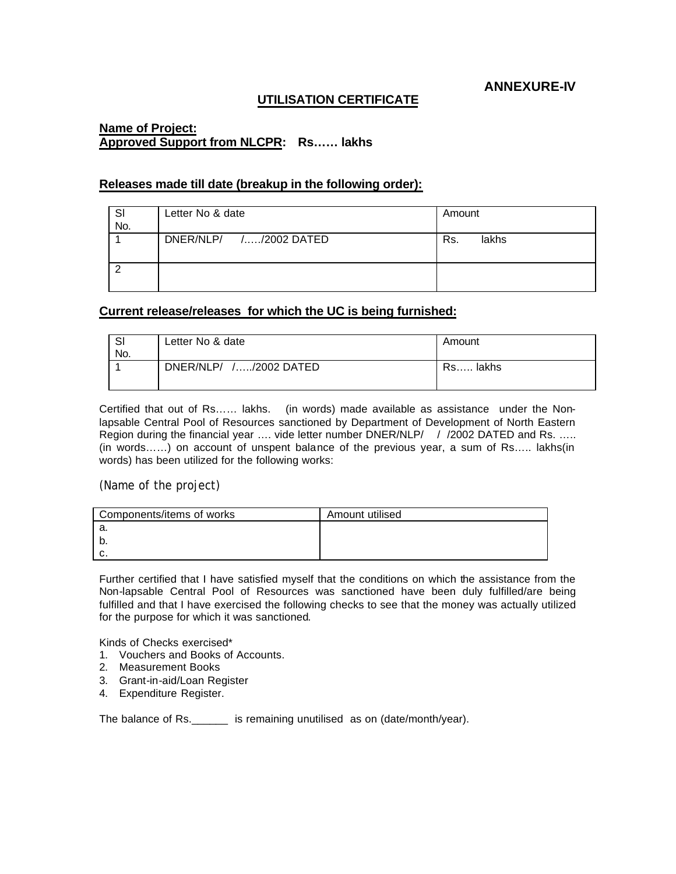**ANNEXURE-IV**

#### **UTILISATION CERTIFICATE**

#### **Name of Project: Approved Support from NLCPR: Rs…… lakhs**

#### **Releases made till date (breakup in the following order):**

| SI<br>No. | Letter No & date       | Amount       |
|-----------|------------------------|--------------|
|           | DNER/NLP/ //2002 DATED | Rs.<br>lakhs |
|           |                        |              |

#### **Current release/releases for which the UC is being furnished:**

| $\sim$<br>ات<br>No. | Letter No & date       | Amount   |
|---------------------|------------------------|----------|
|                     | DNER/NLP/ //2002 DATED | Rs lakhs |

Certified that out of Rs…… lakhs. (in words) made available as assistance under the Nonlapsable Central Pool of Resources sanctioned by Department of Development of North Eastern Region during the financial year .... vide letter number DNER/NLP/ / /2002 DATED and Rs. ..... (in words……) on account of unspent balance of the previous year, a sum of Rs….. lakhs(in words) has been utilized for the following works:

#### (Name of the project)

| Components/items of works | Amount utilised |
|---------------------------|-----------------|
| -а.                       |                 |
| N.                        |                 |
| c.                        |                 |

Further certified that I have satisfied myself that the conditions on which the assistance from the Non-lapsable Central Pool of Resources was sanctioned have been duly fulfilled/are being fulfilled and that I have exercised the following checks to see that the money was actually utilized for the purpose for which it was sanctioned.

Kinds of Checks exercised\*

- 1. Vouchers and Books of Accounts.
- 2. Measurement Books
- 3. Grant-in-aid/Loan Register
- 4. Expenditure Register.

The balance of Rs. \_\_\_\_\_\_\_ is remaining unutilised as on (date/month/year).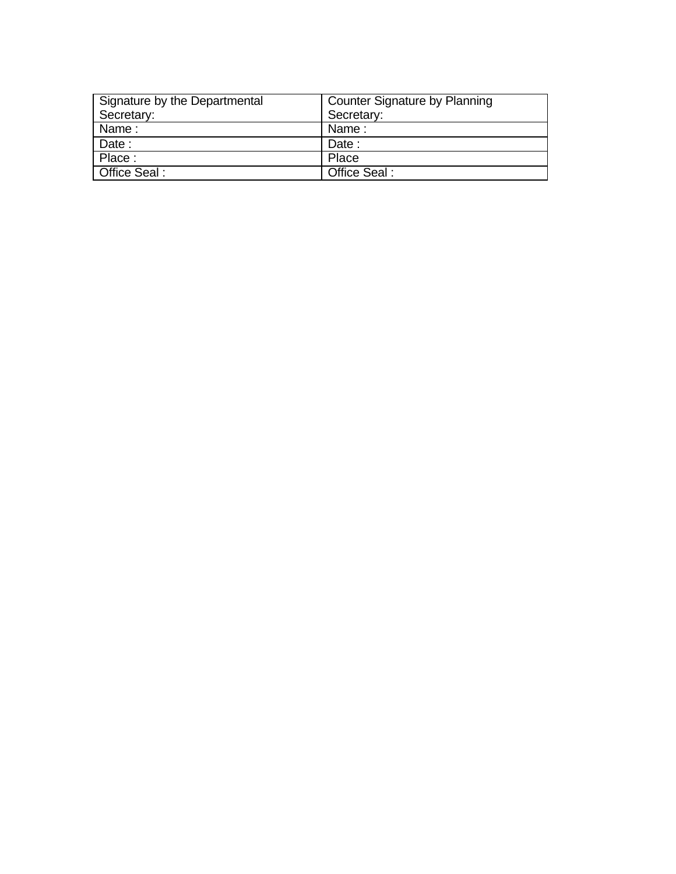| Signature by the Departmental | Counter Signature by Planning |
|-------------------------------|-------------------------------|
| Secretary:                    | Secretary:                    |
| Name:                         | Name:                         |
| Date:                         | Date:                         |
| Place:                        | Place                         |
| Office Seal:                  | Office Seal:                  |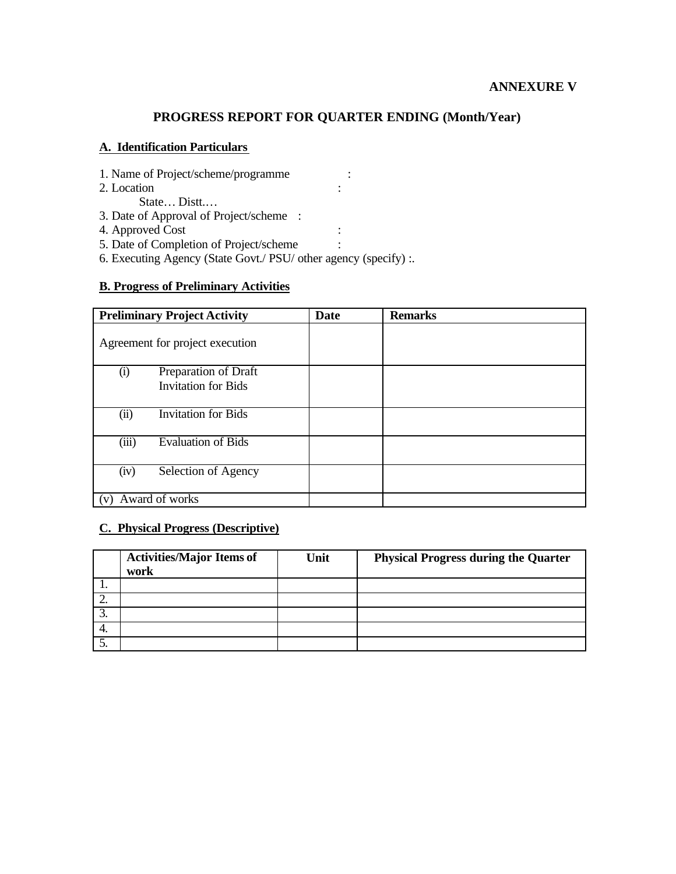# **PROGRESS REPORT FOR QUARTER ENDING (Month/Year)**

#### **A. Identification Particulars**

- 1. Name of Project/scheme/programme :
- 2. Location :
	- State… Distt.…
- 3. Date of Approval of Project/scheme :
- 4. Approved Cost :
- 5. Date of Completion of Project/scheme :
- 6. Executing Agency (State Govt./ PSU/ other agency (specify) :.

#### **B. Progress of Preliminary Activities**

| <b>Preliminary Project Activity</b> |                            | <b>Date</b> | <b>Remarks</b> |
|-------------------------------------|----------------------------|-------------|----------------|
| Agreement for project execution     |                            |             |                |
| (i)                                 | Preparation of Draft       |             |                |
|                                     | <b>Invitation for Bids</b> |             |                |
|                                     |                            |             |                |
| (ii)                                | <b>Invitation for Bids</b> |             |                |
| (iii)                               | <b>Evaluation of Bids</b>  |             |                |
| (iv)                                | Selection of Agency        |             |                |
| Award of works                      |                            |             |                |

#### **C. Physical Progress (Descriptive)**

|     | <b>Activities/Major Items of</b><br>work | Unit | <b>Physical Progress during the Quarter</b> |
|-----|------------------------------------------|------|---------------------------------------------|
| . . |                                          |      |                                             |
| ∼.  |                                          |      |                                             |
| J.  |                                          |      |                                             |
| 4.  |                                          |      |                                             |
| J.  |                                          |      |                                             |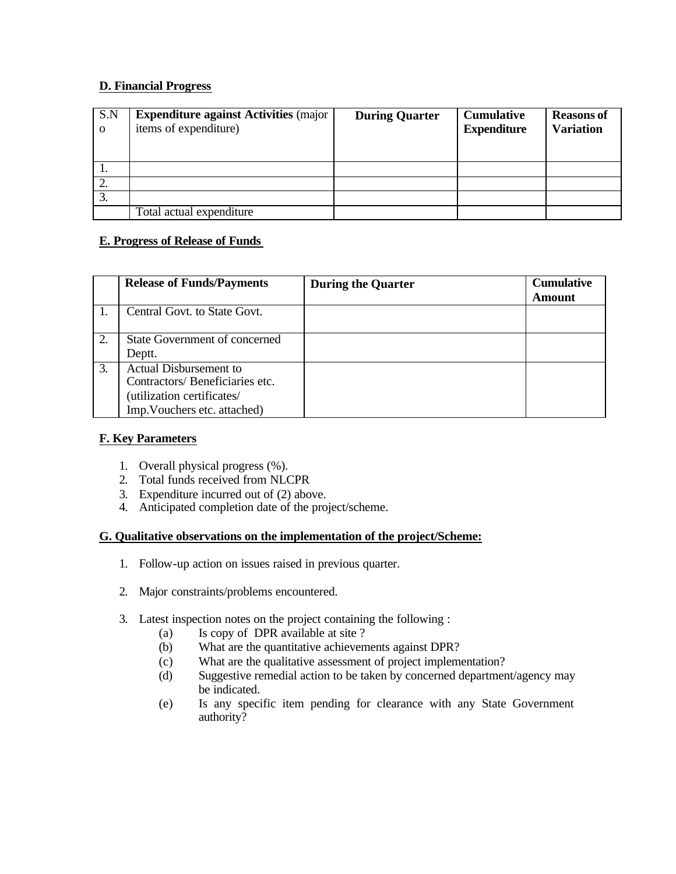#### **D. Financial Progress**

| S.N<br>$\Omega$ | <b>Expenditure against Activities (major</b><br>items of expenditure) | <b>During Quarter</b> | <b>Cumulative</b><br><b>Expenditure</b> | <b>Reasons of</b><br><b>Variation</b> |
|-----------------|-----------------------------------------------------------------------|-----------------------|-----------------------------------------|---------------------------------------|
|                 |                                                                       |                       |                                         |                                       |
| ∠.              |                                                                       |                       |                                         |                                       |
| 3.              |                                                                       |                       |                                         |                                       |
|                 | Total actual expenditure                                              |                       |                                         |                                       |

#### **E. Progress of Release of Funds**

|    | <b>Release of Funds/Payments</b>                                                                                              | <b>During the Quarter</b> | <b>Cumulative</b><br><b>Amount</b> |
|----|-------------------------------------------------------------------------------------------------------------------------------|---------------------------|------------------------------------|
|    | Central Govt. to State Govt.                                                                                                  |                           |                                    |
| 2. | State Government of concerned<br>Deptt.                                                                                       |                           |                                    |
| 3. | <b>Actual Disbursement to</b><br>Contractors/Beneficiaries etc.<br>(utilization certificates/<br>Imp. Vouchers etc. attached) |                           |                                    |

#### **F. Key Parameters**

- 1. Overall physical progress (%).
- 2. Total funds received from NLCPR
- 3. Expenditure incurred out of (2) above.
- 4. Anticipated completion date of the project/scheme.

#### **G. Qualitative observations on the implementation of the project/Scheme:**

- 1. Follow-up action on issues raised in previous quarter.
- 2. Major constraints/problems encountered.
- 3. Latest inspection notes on the project containing the following :
	- (a) Is copy of DPR available at site ?
	- (b) What are the quantitative achievements against DPR?
	- (c) What are the qualitative assessment of project implementation?
	- (d) Suggestive remedial action to be taken by concerned department/agency may be indicated.
	- (e) Is any specific item pending for clearance with any State Government authority?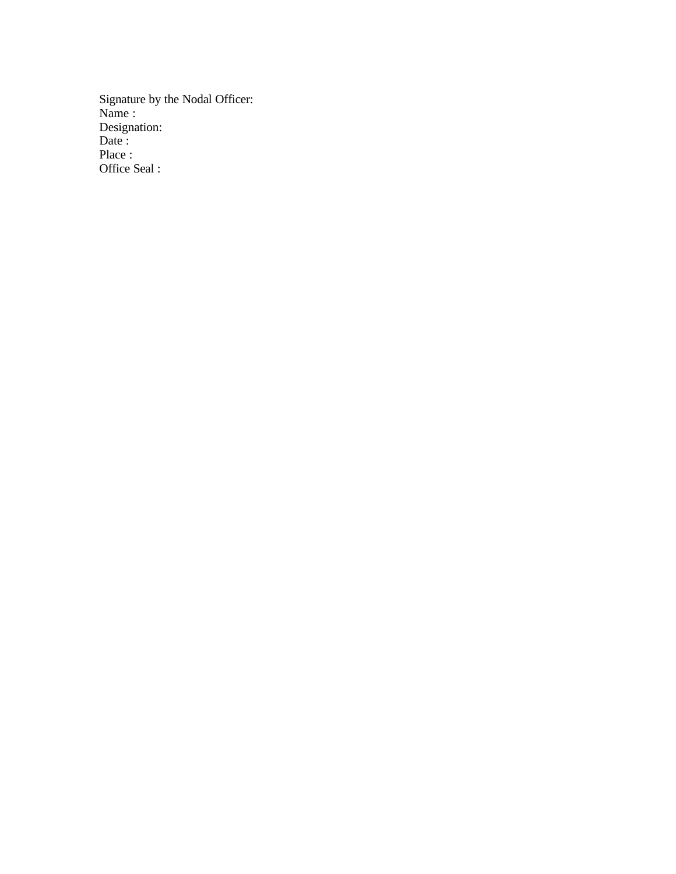Signature by the Nodal Officer: Name : Designation: Date : Place : Office Seal :